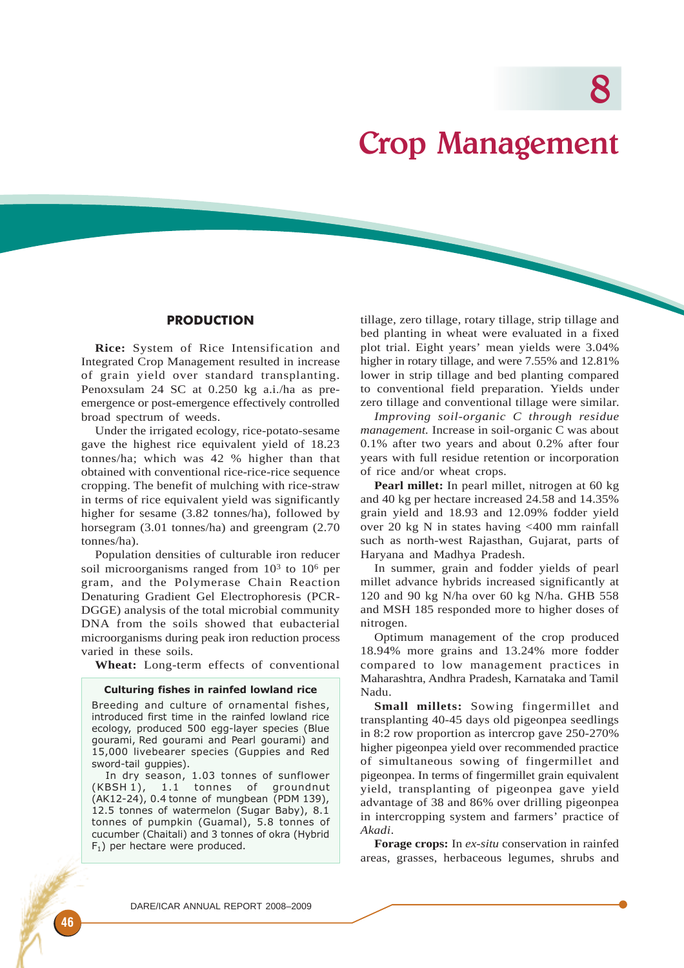8

# Crop Management

# **PRODUCTION**

**Rice:** System of Rice Intensification and Integrated Crop Management resulted in increase of grain yield over standard transplanting. Penoxsulam 24 SC at 0.250 kg a.i./ha as preemergence or post-emergence effectively controlled broad spectrum of weeds.

Under the irrigated ecology, rice-potato-sesame gave the highest rice equivalent yield of 18.23 tonnes/ha; which was 42 % higher than that obtained with conventional rice-rice-rice sequence cropping. The benefit of mulching with rice-straw in terms of rice equivalent yield was significantly higher for sesame (3.82 tonnes/ha), followed by horsegram (3.01 tonnes/ha) and greengram (2.70 tonnes/ha).

Population densities of culturable iron reducer soil microorganisms ranged from  $10<sup>3</sup>$  to  $10<sup>6</sup>$  per gram, and the Polymerase Chain Reaction Denaturing Gradient Gel Electrophoresis (PCR-DGGE) analysis of the total microbial community DNA from the soils showed that eubacterial microorganisms during peak iron reduction process varied in these soils.

**Wheat:** Long-term effects of conventional

## Culturing fishes in rainfed lowland rice

Breeding and culture of ornamental fishes, introduced first time in the rainfed lowland rice ecology, produced 500 egg-layer species (Blue gourami, Red gourami and Pearl gourami) and 15,000 livebearer species (Guppies and Red sword-tail guppies).

In dry season, 1.03 tonnes of sunflower<br>(KBSH 1), 1.1 tonnes of groundnut 1.1 tonnes of groundnut (AK12-24), 0.4 tonne of mungbean (PDM 139), 12.5 tonnes of watermelon (Sugar Baby), 8.1 tonnes of pumpkin (Guamal), 5.8 tonnes of cucumber (Chaitali) and 3 tonnes of okra (Hybrid  $F_1$ ) per hectare were produced.

tillage, zero tillage, rotary tillage, strip tillage and bed planting in wheat were evaluated in a fixed plot trial. Eight years' mean yields were 3.04% higher in rotary tillage, and were 7.55% and 12.81% lower in strip tillage and bed planting compared to conventional field preparation. Yields under zero tillage and conventional tillage were similar.

*Improving soil-organic C through residue management.* Increase in soil-organic C was about 0.1% after two years and about 0.2% after four years with full residue retention or incorporation of rice and/or wheat crops.

**Pearl millet:** In pearl millet, nitrogen at 60 kg and 40 kg per hectare increased 24.58 and 14.35% grain yield and 18.93 and 12.09% fodder yield over 20 kg N in states having <400 mm rainfall such as north-west Rajasthan, Gujarat, parts of Haryana and Madhya Pradesh.

In summer, grain and fodder yields of pearl millet advance hybrids increased significantly at 120 and 90 kg N/ha over 60 kg N/ha. GHB 558 and MSH 185 responded more to higher doses of nitrogen.

Optimum management of the crop produced 18.94% more grains and 13.24% more fodder compared to low management practices in Maharashtra, Andhra Pradesh, Karnataka and Tamil Nadu.

**Small millets:** Sowing fingermillet and transplanting 40-45 days old pigeonpea seedlings in 8:2 row proportion as intercrop gave 250-270% higher pigeonpea yield over recommended practice of simultaneous sowing of fingermillet and pigeonpea. In terms of fingermillet grain equivalent yield, transplanting of pigeonpea gave yield advantage of 38 and 86% over drilling pigeonpea in intercropping system and farmers' practice of *Akadi*.

**Forage crops:** In *ex-situ* conservation in rainfed areas, grasses, herbaceous legumes, shrubs and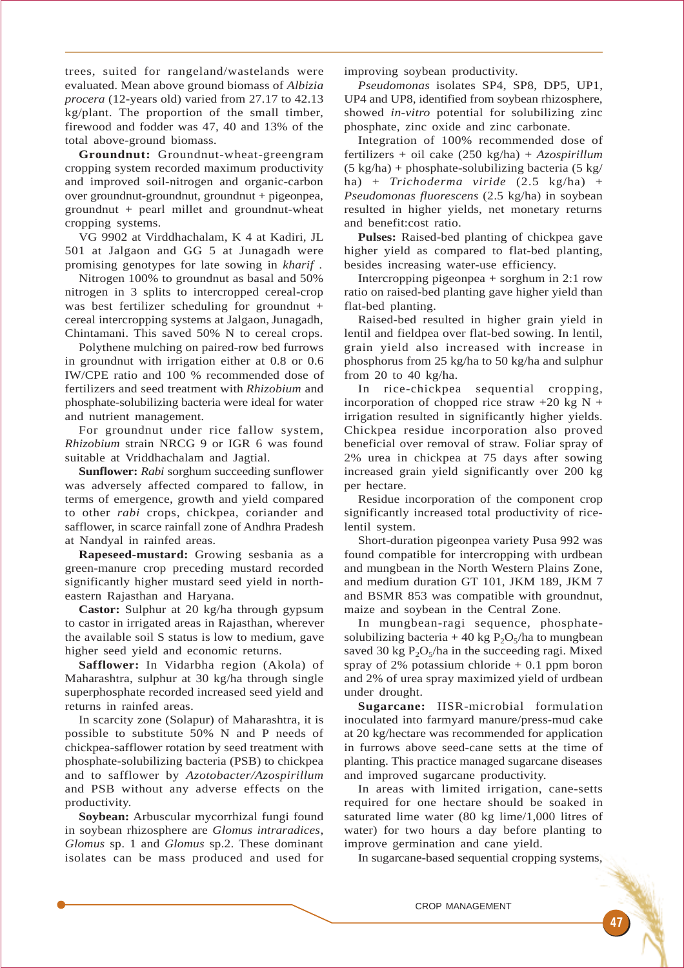trees, suited for rangeland/wastelands were evaluated. Mean above ground biomass of *Albizia procera* (12-years old) varied from 27.17 to 42.13 kg/plant. The proportion of the small timber, firewood and fodder was 47, 40 and 13% of the total above-ground biomass.

**Groundnut:** Groundnut-wheat-greengram cropping system recorded maximum productivity and improved soil-nitrogen and organic-carbon over groundnut-groundnut, groundnut + pigeonpea, groundnut + pearl millet and groundnut-wheat cropping systems.

VG 9902 at Virddhachalam, K 4 at Kadiri, JL 501 at Jalgaon and GG 5 at Junagadh were promising genotypes for late sowing in *kharif* .

Nitrogen 100% to groundnut as basal and 50% nitrogen in 3 splits to intercropped cereal-crop was best fertilizer scheduling for groundnut + cereal intercropping systems at Jalgaon, Junagadh, Chintamani. This saved 50% N to cereal crops.

Polythene mulching on paired-row bed furrows in groundnut with irrigation either at 0.8 or 0.6 IW/CPE ratio and 100 % recommended dose of fertilizers and seed treatment with *Rhizobium* and phosphate-solubilizing bacteria were ideal for water and nutrient management.

For groundnut under rice fallow system, *Rhizobium* strain NRCG 9 or IGR 6 was found suitable at Vriddhachalam and Jagtial.

**Sunflower:** *Rabi* sorghum succeeding sunflower was adversely affected compared to fallow, in terms of emergence, growth and yield compared to other *rabi* crops*,* chickpea, coriander and safflower, in scarce rainfall zone of Andhra Pradesh at Nandyal in rainfed areas.

**Rapeseed-mustard:** Growing sesbania as a green-manure crop preceding mustard recorded significantly higher mustard seed yield in northeastern Rajasthan and Haryana.

**Castor:** Sulphur at 20 kg/ha through gypsum to castor in irrigated areas in Rajasthan, wherever the available soil S status is low to medium, gave higher seed yield and economic returns.

**Safflower:** In Vidarbha region (Akola) of Maharashtra, sulphur at 30 kg/ha through single superphosphate recorded increased seed yield and returns in rainfed areas.

In scarcity zone (Solapur) of Maharashtra, it is possible to substitute 50% N and P needs of chickpea-safflower rotation by seed treatment with phosphate-solubilizing bacteria (PSB) to chickpea and to safflower by *Azotobacter/Azospirillum* and PSB without any adverse effects on the productivity.

**Soybean:** Arbuscular mycorrhizal fungi found in soybean rhizosphere are *Glomus intraradices*, *Glomus* sp. 1 and *Glomus* sp.2. These dominant isolates can be mass produced and used for improving soybean productivity.

*Pseudomonas* isolates SP4, SP8, DP5, UP1, UP4 and UP8, identified from soybean rhizosphere, showed *in-vitro* potential for solubilizing zinc phosphate, zinc oxide and zinc carbonate.

Integration of 100% recommended dose of fertilizers + oil cake (250 kg/ha) + *Azospirillum*  $(5 \text{ kg/ha}) + \text{phosphate-solubilizing bacteria} (5 \text{ kg/h})$ ha) + *Trichoderma viride* (2.5 kg/ha) + *Pseudomonas fluorescens* (2.5 kg/ha) in soybean resulted in higher yields, net monetary returns and benefit:cost ratio.

**Pulses:** Raised-bed planting of chickpea gave higher yield as compared to flat-bed planting, besides increasing water-use efficiency.

Intercropping pigeonpea + sorghum in 2:1 row ratio on raised-bed planting gave higher yield than flat-bed planting.

Raised-bed resulted in higher grain yield in lentil and fieldpea over flat-bed sowing. In lentil, grain yield also increased with increase in phosphorus from 25 kg/ha to 50 kg/ha and sulphur from 20 to 40 kg/ha.

In rice-chickpea sequential cropping, incorporation of chopped rice straw  $+20 \text{ kg N} +$ irrigation resulted in significantly higher yields. Chickpea residue incorporation also proved beneficial over removal of straw. Foliar spray of 2% urea in chickpea at 75 days after sowing increased grain yield significantly over 200 kg per hectare.

Residue incorporation of the component crop significantly increased total productivity of ricelentil system.

Short-duration pigeonpea variety Pusa 992 was found compatible for intercropping with urdbean and mungbean in the North Western Plains Zone, and medium duration GT 101, JKM 189, JKM 7 and BSMR 853 was compatible with groundnut, maize and soybean in the Central Zone.

In mungbean-ragi sequence, phosphatesolubilizing bacteria + 40 kg  $P_2O_5/h$ a to mungbean saved 30 kg  $P_2O_5/ha$  in the succeeding ragi. Mixed spray of 2% potassium chloride  $+$  0.1 ppm boron and 2% of urea spray maximized yield of urdbean under drought.

**Sugarcane:** IISR-microbial formulation inoculated into farmyard manure/press-mud cake at 20 kg/hectare was recommended for application in furrows above seed-cane setts at the time of planting. This practice managed sugarcane diseases and improved sugarcane productivity.

In areas with limited irrigation, cane-setts required for one hectare should be soaked in saturated lime water (80 kg lime/1,000 litres of water) for two hours a day before planting to improve germination and cane yield.

In sugarcane-based sequential cropping systems,

CROP MANAGEMENT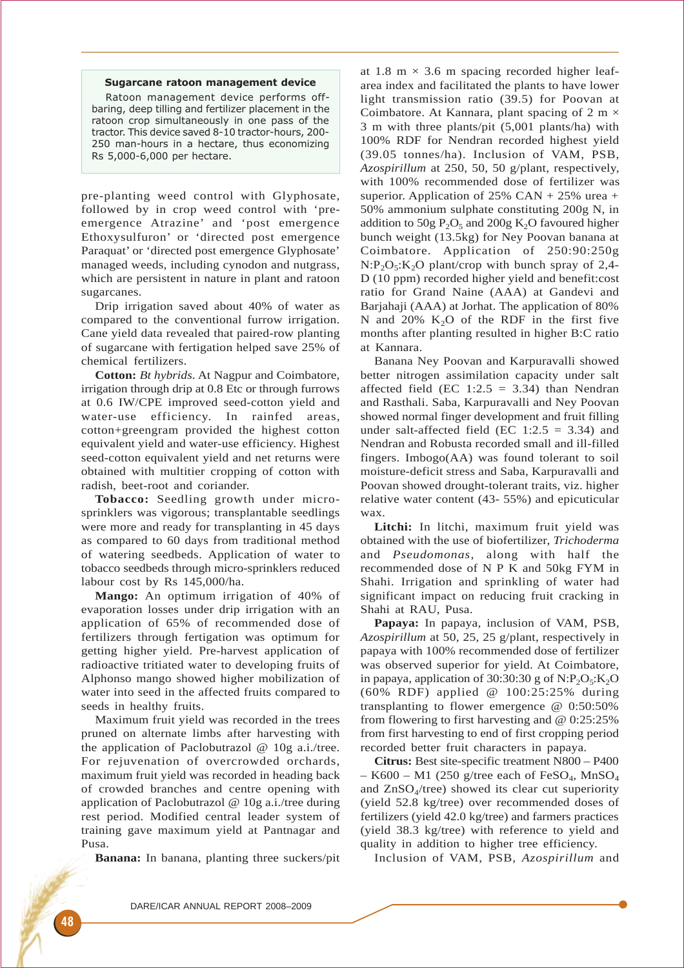#### Sugarcane ratoon management device

Ratoon management device performs offbaring, deep tilling and fertilizer placement in the ratoon crop simultaneously in one pass of the tractor. This device saved 8-10 tractor-hours, 200- 250 man-hours in a hectare, thus economizing Rs 5,000-6,000 per hectare.

pre-planting weed control with Glyphosate, followed by in crop weed control with 'preemergence Atrazine' and 'post emergence Ethoxysulfuron' or 'directed post emergence Paraquat' or 'directed post emergence Glyphosate' managed weeds, including cynodon and nutgrass, which are persistent in nature in plant and ratoon sugarcanes.

Drip irrigation saved about 40% of water as compared to the conventional furrow irrigation. Cane yield data revealed that paired-row planting of sugarcane with fertigation helped save 25% of chemical fertilizers.

**Cotton:** *Bt hybrids*. At Nagpur and Coimbatore, irrigation through drip at 0.8 Etc or through furrows at 0.6 IW/CPE improved seed-cotton yield and water-use efficiency. In rainfed areas, cotton+greengram provided the highest cotton equivalent yield and water-use efficiency. Highest seed-cotton equivalent yield and net returns were obtained with multitier cropping of cotton with radish, beet-root and coriander.

**Tobacco:** Seedling growth under microsprinklers was vigorous; transplantable seedlings were more and ready for transplanting in 45 days as compared to 60 days from traditional method of watering seedbeds. Application of water to tobacco seedbeds through micro-sprinklers reduced labour cost by Rs 145,000/ha.

**Mango:** An optimum irrigation of 40% of evaporation losses under drip irrigation with an application of 65% of recommended dose of fertilizers through fertigation was optimum for getting higher yield. Pre-harvest application of radioactive tritiated water to developing fruits of Alphonso mango showed higher mobilization of water into seed in the affected fruits compared to seeds in healthy fruits.

Maximum fruit yield was recorded in the trees pruned on alternate limbs after harvesting with the application of Paclobutrazol @ 10g a.i./tree. For rejuvenation of overcrowded orchards, maximum fruit yield was recorded in heading back of crowded branches and centre opening with application of Paclobutrazol @ 10g a.i./tree during rest period. Modified central leader system of training gave maximum yield at Pantnagar and Pusa.

**Banana:** In banana, planting three suckers/pit

at 1.8 m  $\times$  3.6 m spacing recorded higher leafarea index and facilitated the plants to have lower light transmission ratio (39.5) for Poovan at Coimbatore. At Kannara, plant spacing of 2 m  $\times$ 3 m with three plants/pit (5,001 plants/ha) with 100% RDF for Nendran recorded highest yield (39.05 tonnes/ha). Inclusion of VAM, PSB, *Azospirillum* at 250, 50, 50 g/plant, respectively, with 100% recommended dose of fertilizer was superior. Application of  $25\%$  CAN +  $25\%$  urea + 50% ammonium sulphate constituting 200g N, in addition to  $50g P_2O_5$  and  $200g K_2O$  favoured higher bunch weight (13.5kg) for Ney Poovan banana at Coimbatore. Application of 250:90:250g  $N: P<sub>2</sub>O<sub>5</sub>: K<sub>2</sub>O plant/crop with bunch spray of 2,4-$ D (10 ppm) recorded higher yield and benefit:cost ratio for Grand Naine (AAA) at Gandevi and Barjahaji (AAA) at Jorhat. The application of 80% N and 20%  $K_2O$  of the RDF in the first five months after planting resulted in higher B:C ratio at Kannara.

Banana Ney Poovan and Karpuravalli showed better nitrogen assimilation capacity under salt affected field (EC 1:2.5 = 3.34) than Nendran and Rasthali. Saba, Karpuravalli and Ney Poovan showed normal finger development and fruit filling under salt-affected field (EC  $1:2.5 = 3.34$ ) and Nendran and Robusta recorded small and ill-filled fingers. Imbogo(AA) was found tolerant to soil moisture-deficit stress and Saba, Karpuravalli and Poovan showed drought-tolerant traits, viz. higher relative water content (43- 55%) and epicuticular wax.

**Litchi:** In litchi, maximum fruit yield was obtained with the use of biofertilizer, *Trichoderma* and *Pseudomonas*, along with half the recommended dose of N P K and 50kg FYM in Shahi. Irrigation and sprinkling of water had significant impact on reducing fruit cracking in Shahi at RAU, Pusa.

**Papaya:** In papaya, inclusion of VAM, PSB, *Azospirillum* at 50, 25, 25 g/plant, respectively in papaya with 100% recommended dose of fertilizer was observed superior for yield. At Coimbatore, in papaya, application of 30:30:30 g of  $N: P_2O_5:K_2O$ (60% RDF) applied @ 100:25:25% during transplanting to flower emergence @ 0:50:50% from flowering to first harvesting and @ 0:25:25% from first harvesting to end of first cropping period recorded better fruit characters in papaya.

**Citrus:** Best site-specific treatment N800 – P400  $-$  K600 – M1 (250 g/tree each of FeSO<sub>4</sub>, MnSO<sub>4</sub> and  $ZnSO_4$ /tree) showed its clear cut superiority (yield 52.8 kg/tree) over recommended doses of fertilizers (yield 42.0 kg/tree) and farmers practices (yield 38.3 kg/tree) with reference to yield and quality in addition to higher tree efficiency.

Inclusion of VAM, PSB, *Azospirillum* and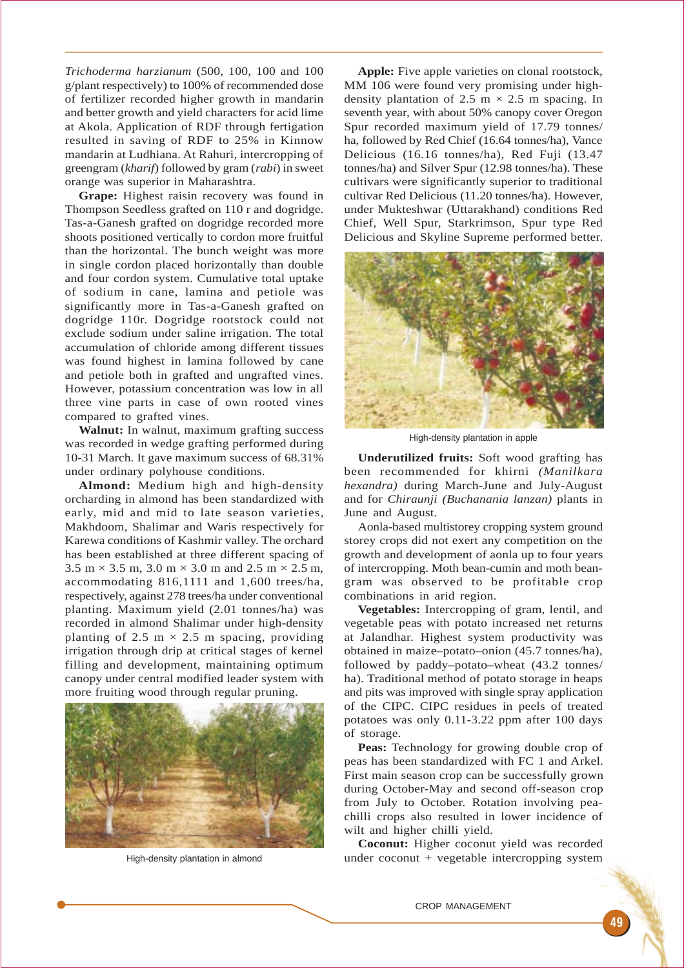*Trichoderma harzianum* (500, 100, 100 and 100 g/plant respectively) to 100% of recommended dose of fertilizer recorded higher growth in mandarin and better growth and yield characters for acid lime at Akola. Application of RDF through fertigation resulted in saving of RDF to 25% in Kinnow mandarin at Ludhiana. At Rahuri, intercropping of greengram (*kharif*) followed by gram (*rabi*) in sweet orange was superior in Maharashtra.

**Grape:** Highest raisin recovery was found in Thompson Seedless grafted on 110 r and dogridge. Tas-a-Ganesh grafted on dogridge recorded more shoots positioned vertically to cordon more fruitful than the horizontal. The bunch weight was more in single cordon placed horizontally than double and four cordon system. Cumulative total uptake of sodium in cane, lamina and petiole was significantly more in Tas-a-Ganesh grafted on dogridge 110r. Dogridge rootstock could not exclude sodium under saline irrigation. The total accumulation of chloride among different tissues was found highest in lamina followed by cane and petiole both in grafted and ungrafted vines. However, potassium concentration was low in all three vine parts in case of own rooted vines compared to grafted vines.

**Walnut:** In walnut, maximum grafting success was recorded in wedge grafting performed during 10-31 March. It gave maximum success of 68.31% under ordinary polyhouse conditions.

**Almond:** Medium high and high-density orcharding in almond has been standardized with early, mid and mid to late season varieties, Makhdoom, Shalimar and Waris respectively for Karewa conditions of Kashmir valley. The orchard has been established at three different spacing of  $3.5 \text{ m} \times 3.5 \text{ m}$ ,  $3.0 \text{ m} \times 3.0 \text{ m}$  and  $2.5 \text{ m} \times 2.5 \text{ m}$ , accommodating 816,1111 and 1,600 trees/ha, respectively, against 278 trees/ha under conventional planting. Maximum yield (2.01 tonnes/ha) was recorded in almond Shalimar under high-density planting of 2.5 m  $\times$  2.5 m spacing, providing irrigation through drip at critical stages of kernel filling and development, maintaining optimum canopy under central modified leader system with more fruiting wood through regular pruning.



High-density plantation in almond

Apple: Five apple varieties on clonal rootstock, MM 106 were found very promising under highdensity plantation of 2.5 m  $\times$  2.5 m spacing. In seventh year, with about 50% canopy cover Oregon Spur recorded maximum yield of 17.79 tonnes/ ha, followed by Red Chief (16.64 tonnes/ha), Vance Delicious (16.16 tonnes/ha), Red Fuji (13.47 tonnes/ha) and Silver Spur (12.98 tonnes/ha). These cultivars were significantly superior to traditional cultivar Red Delicious (11.20 tonnes/ha). However, under Mukteshwar (Uttarakhand) conditions Red Chief, Well Spur, Starkrimson, Spur type Red Delicious and Skyline Supreme performed better.



High-density plantation in apple

**Underutilized fruits:** Soft wood grafting has been recommended for khirni *(Manilkara hexandra)* during March-June and July-August and for *Chiraunji (Buchanania lanzan)* plants in June and August.

Aonla-based multistorey cropping system ground storey crops did not exert any competition on the growth and development of aonla up to four years of intercropping. Moth bean-cumin and moth beangram was observed to be profitable crop combinations in arid region.

**Vegetables:** Intercropping of gram, lentil, and vegetable peas with potato increased net returns at Jalandhar. Highest system productivity was obtained in maize–potato–onion (45.7 tonnes/ha), followed by paddy–potato–wheat (43.2 tonnes/ ha). Traditional method of potato storage in heaps and pits was improved with single spray application of the CIPC. CIPC residues in peels of treated potatoes was only 0.11-3.22 ppm after 100 days of storage.

**Peas:** Technology for growing double crop of peas has been standardized with FC 1 and Arkel. First main season crop can be successfully grown during October-May and second off-season crop from July to October. Rotation involving peachilli crops also resulted in lower incidence of wilt and higher chilli yield.

**Coconut:** Higher coconut yield was recorded under coconut + vegetable intercropping system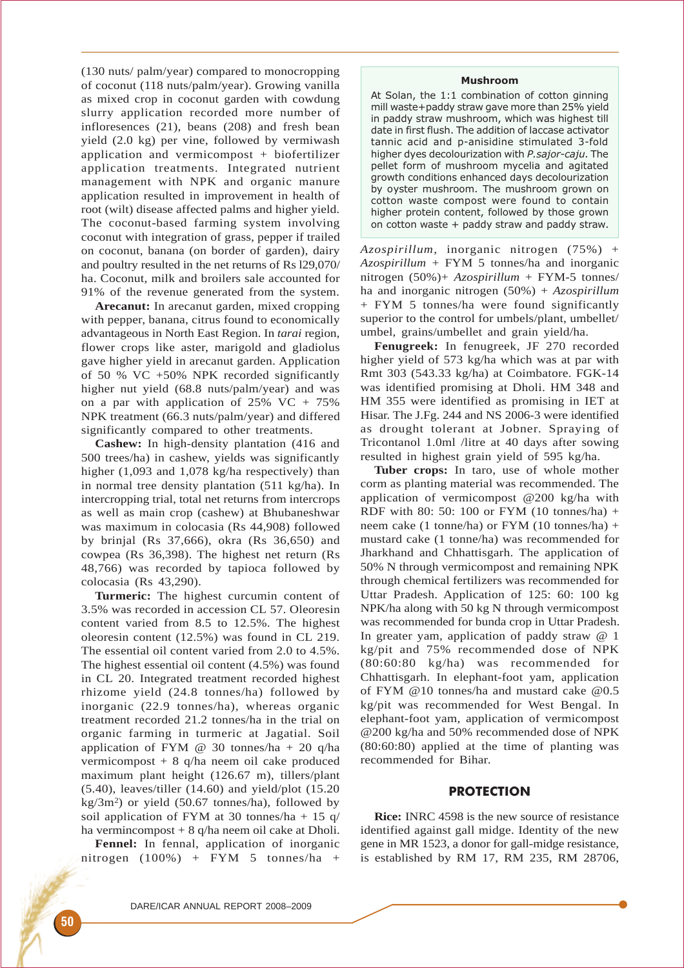(130 nuts/ palm/year) compared to monocropping of coconut (118 nuts/palm/year). Growing vanilla as mixed crop in coconut garden with cowdung slurry application recorded more number of infloresences (21), beans (208) and fresh bean yield (2.0 kg) per vine, followed by vermiwash application and vermicompost + biofertilizer application treatments. Integrated nutrient management with NPK and organic manure application resulted in improvement in health of root (wilt) disease affected palms and higher yield. The coconut-based farming system involving coconut with integration of grass, pepper if trailed on coconut, banana (on border of garden), dairy and poultry resulted in the net returns of Rs l29,070/ ha. Coconut, milk and broilers sale accounted for 91% of the revenue generated from the system.

**Arecanut:** In arecanut garden, mixed cropping with pepper, banana, citrus found to economically advantageous in North East Region. In *tarai* region, flower crops like aster, marigold and gladiolus gave higher yield in arecanut garden. Application of 50 % VC +50% NPK recorded significantly higher nut yield (68.8 nuts/palm/year) and was on a par with application of  $25\%$  VC +  $75\%$ NPK treatment (66.3 nuts/palm/year) and differed significantly compared to other treatments.

**Cashew:** In high-density plantation (416 and 500 trees/ha) in cashew, yields was significantly higher (1,093 and 1,078 kg/ha respectively) than in normal tree density plantation (511 kg/ha). In intercropping trial, total net returns from intercrops as well as main crop (cashew) at Bhubaneshwar was maximum in colocasia (Rs 44,908) followed by brinjal (Rs 37,666), okra (Rs 36,650) and cowpea (Rs 36,398). The highest net return (Rs 48,766) was recorded by tapioca followed by colocasia (Rs 43,290).

**Turmeric:** The highest curcumin content of 3.5% was recorded in accession CL 57. Oleoresin content varied from 8.5 to 12.5%. The highest oleoresin content (12.5%) was found in CL 219. The essential oil content varied from 2.0 to 4.5%. The highest essential oil content (4.5%) was found in CL 20. Integrated treatment recorded highest rhizome yield (24.8 tonnes/ha) followed by inorganic (22.9 tonnes/ha), whereas organic treatment recorded 21.2 tonnes/ha in the trial on organic farming in turmeric at Jagatial. Soil application of FYM  $@$  30 tonnes/ha + 20 q/ha vermicompost + 8 q/ha neem oil cake produced maximum plant height (126.67 m), tillers/plant (5.40), leaves/tiller (14.60) and yield/plot (15.20  $kg/3m^2$ ) or yield (50.67 tonnes/ha), followed by soil application of FYM at 30 tonnes/ha + 15  $q/$ ha vermincompost + 8 q/ha neem oil cake at Dholi.

**Fennel:** In fennal, application of inorganic nitrogen (100%) + FYM 5 tonnes/ha +

## Mushroom

At Solan, the 1:1 combination of cotton ginning mill waste+paddy straw gave more than 25% yield in paddy straw mushroom, which was highest till date in first flush. The addition of laccase activator tannic acid and p-anisidine stimulated 3-fold higher dyes decolourization with P. sajor-caju. The pellet form of mushroom mycelia and agitated growth conditions enhanced days decolourization by oyster mushroom. The mushroom grown on cotton waste compost were found to contain higher protein content, followed by those grown on cotton waste + paddy straw and paddy straw.

*Azospirillum*, inorganic nitrogen (75%) + *Azospirillum* + FYM 5 tonnes/ha and inorganic nitrogen (50%)+ *Azospirillum* + FYM-5 tonnes/ ha and inorganic nitrogen (50%) + *Azospirillum* + FYM 5 tonnes/ha were found significantly superior to the control for umbels/plant, umbellet/ umbel, grains/umbellet and grain yield/ha.

**Fenugreek:** In fenugreek, JF 270 recorded higher yield of 573 kg/ha which was at par with Rmt 303 (543.33 kg/ha) at Coimbatore. FGK-14 was identified promising at Dholi. HM 348 and HM 355 were identified as promising in IET at Hisar. The J.Fg. 244 and NS 2006-3 were identified as drought tolerant at Jobner. Spraying of Tricontanol 1.0ml /litre at 40 days after sowing resulted in highest grain yield of 595 kg/ha.

**Tuber crops:** In taro, use of whole mother corm as planting material was recommended. The application of vermicompost @200 kg/ha with RDF with 80: 50: 100 or FYM (10 tonnes/ha) + neem cake (1 tonne/ha) or  $FYM$  (10 tonnes/ha) + mustard cake (1 tonne/ha) was recommended for Jharkhand and Chhattisgarh. The application of 50% N through vermicompost and remaining NPK through chemical fertilizers was recommended for Uttar Pradesh. Application of 125: 60: 100 kg NPK/ha along with 50 kg N through vermicompost was recommended for bunda crop in Uttar Pradesh. In greater yam, application of paddy straw @ 1 kg/pit and 75% recommended dose of NPK (80:60:80 kg/ha) was recommended for Chhattisgarh. In elephant-foot yam, application of FYM @10 tonnes/ha and mustard cake @0.5 kg/pit was recommended for West Bengal. In elephant-foot yam, application of vermicompost @200 kg/ha and 50% recommended dose of NPK (80:60:80) applied at the time of planting was recommended for Bihar.

# **PROTECTION**

**Rice:** INRC 4598 is the new source of resistance identified against gall midge. Identity of the new gene in MR 1523, a donor for gall-midge resistance, is established by RM 17, RM 235, RM 28706,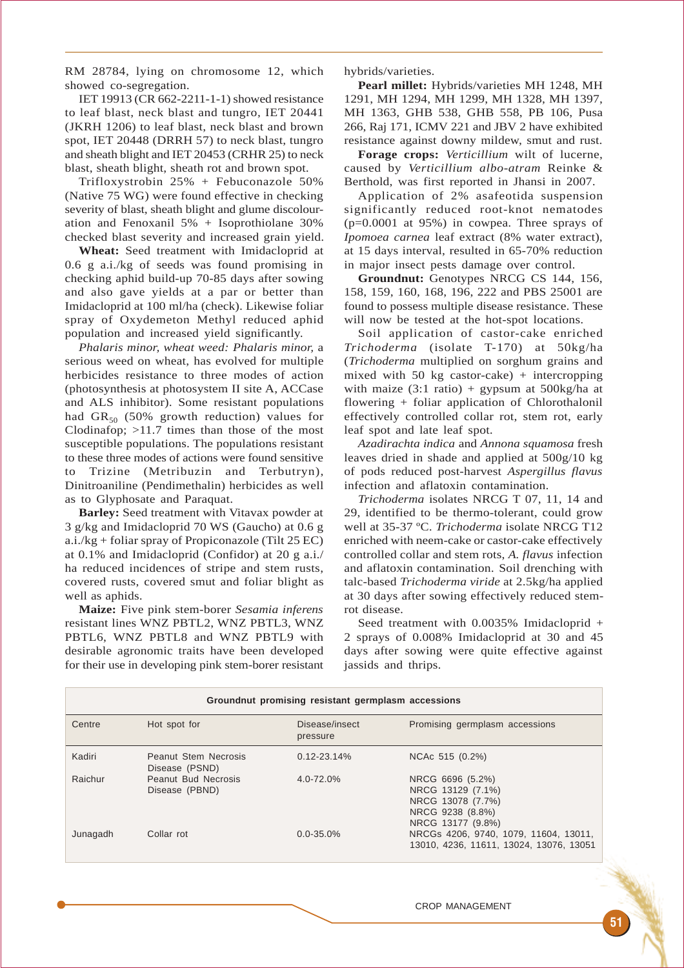RM 28784, lying on chromosome 12, which showed co-segregation.

IET 19913 (CR 662-2211-1-1) showed resistance to leaf blast, neck blast and tungro, IET 20441 (JKRH 1206) to leaf blast, neck blast and brown spot, IET 20448 (DRRH 57) to neck blast, tungro and sheath blight and IET 20453 (CRHR 25) to neck blast, sheath blight, sheath rot and brown spot.

Trifloxystrobin 25% + Febuconazole 50% (Native 75 WG) were found effective in checking severity of blast, sheath blight and glume discolouration and Fenoxanil 5% + Isoprothiolane 30% checked blast severity and increased grain yield.

**Wheat:** Seed treatment with Imidacloprid at 0.6 g a.i./kg of seeds was found promising in checking aphid build-up 70-85 days after sowing and also gave yields at a par or better than Imidacloprid at 100 ml/ha (check). Likewise foliar spray of Oxydemeton Methyl reduced aphid population and increased yield significantly.

*Phalaris minor, wheat weed: Phalaris minor,* a serious weed on wheat, has evolved for multiple herbicides resistance to three modes of action (photosynthesis at photosystem II site A, ACCase and ALS inhibitor). Some resistant populations had  $GR_{50}$  (50% growth reduction) values for Clodinafop; >11.7 times than those of the most susceptible populations. The populations resistant to these three modes of actions were found sensitive to Trizine (Metribuzin and Terbutryn), Dinitroaniline (Pendimethalin) herbicides as well as to Glyphosate and Paraquat.

**Barley:** Seed treatment with Vitavax powder at 3 g/kg and Imidacloprid 70 WS (Gaucho) at 0.6 g a.i./kg + foliar spray of Propiconazole (Tilt 25 EC) at 0.1% and Imidacloprid (Confidor) at 20 g a.i./ ha reduced incidences of stripe and stem rusts, covered rusts, covered smut and foliar blight as well as aphids.

**Maize:** Five pink stem-borer *Sesamia inferens* resistant lines WNZ PBTL2, WNZ PBTL3, WNZ PBTL6, WNZ PBTL8 and WNZ PBTL9 with desirable agronomic traits have been developed for their use in developing pink stem-borer resistant

hybrids/varieties.

**Pearl millet:** Hybrids/varieties MH 1248, MH 1291, MH 1294, MH 1299, MH 1328, MH 1397, MH 1363, GHB 538, GHB 558, PB 106, Pusa 266, Raj 171, ICMV 221 and JBV 2 have exhibited resistance against downy mildew, smut and rust.

**Forage crops:** *Verticillium* wilt of lucerne, caused by *Verticillium albo-atram* Reinke & Berthold, was first reported in Jhansi in 2007.

Application of 2% asafeotida suspension significantly reduced root-knot nematodes (p=0.0001 at 95%) in cowpea. Three sprays of *Ipomoea carnea* leaf extract (8% water extract), at 15 days interval, resulted in 65-70% reduction in major insect pests damage over control.

**Groundnut:** Genotypes NRCG CS 144, 156, 158, 159, 160, 168, 196, 222 and PBS 25001 are found to possess multiple disease resistance. These will now be tested at the hot-spot locations.

Soil application of castor-cake enriched *Trichoderma* (isolate T-170) at 50kg/ha (*Trichoderma* multiplied on sorghum grains and mixed with 50 kg castor-cake) + intercropping with maize  $(3:1 \text{ ratio}) +$  gypsum at  $500 \text{kg/ha}$  at flowering + foliar application of Chlorothalonil effectively controlled collar rot, stem rot, early leaf spot and late leaf spot.

*Azadirachta indica* and *Annona squamosa* fresh leaves dried in shade and applied at 500g/10 kg of pods reduced post-harvest *Aspergillus flavus* infection and aflatoxin contamination.

*Trichoderma* isolates NRCG T 07, 11, 14 and 29, identified to be thermo-tolerant, could grow well at 35-37 ºC. *Trichoderma* isolate NRCG T12 enriched with neem-cake or castor-cake effectively controlled collar and stem rots, *A. flavus* infection and aflatoxin contamination*.* Soil drenching with talc-based *Trichoderma viride* at 2.5kg/ha applied at 30 days after sowing effectively reduced stemrot disease.

Seed treatment with 0.0035% Imidacloprid + 2 sprays of 0.008% Imidacloprid at 30 and 45 days after sowing were quite effective against jassids and thrips.

| Groundnut promising resistant germplasm accessions |                                               |                            |                                                                                                     |
|----------------------------------------------------|-----------------------------------------------|----------------------------|-----------------------------------------------------------------------------------------------------|
| Centre                                             | Hot spot for                                  | Disease/insect<br>pressure | Promising germplasm accessions                                                                      |
| Kadiri                                             | <b>Peanut Stem Necrosis</b><br>Disease (PSND) | $0.12 - 23.14\%$           | NCAc 515 (0.2%)                                                                                     |
| Raichur                                            | Peanut Bud Necrosis<br>Disease (PBND)         | $4.0 - 72.0\%$             | NRCG 6696 (5.2%)<br>NRCG 13129 (7.1%)<br>NRCG 13078 (7.7%)<br>NRCG 9238 (8.8%)<br>NRCG 13177 (9.8%) |
| Junagadh                                           | Collar rot                                    | $0.0 - 35.0\%$             | NRCGs 4206, 9740, 1079, 11604, 13011,<br>13010, 4236, 11611, 13024, 13076, 13051                    |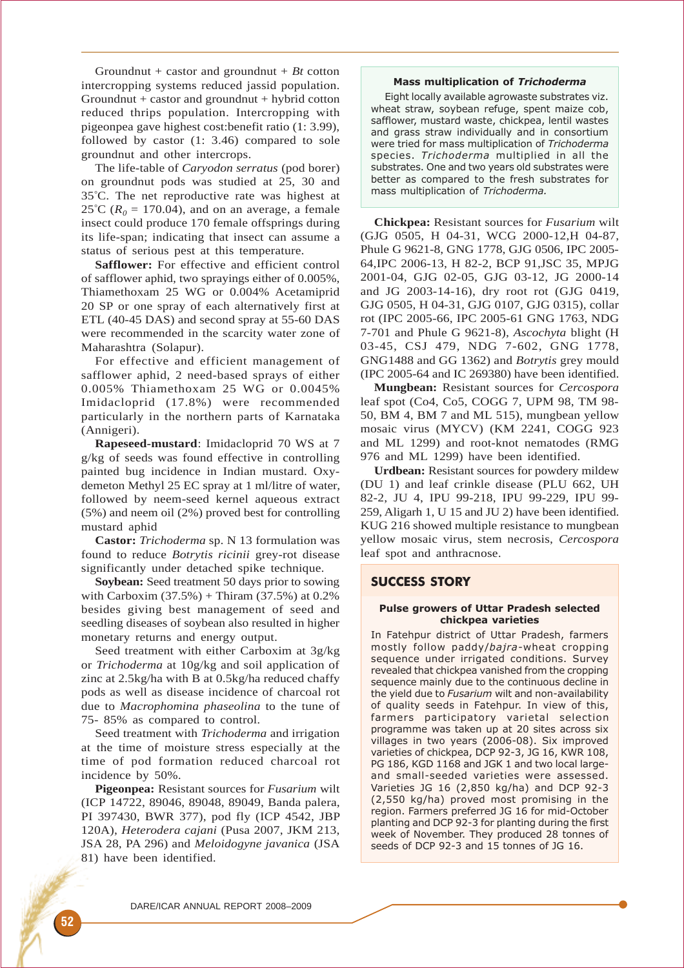Groundnut + castor and groundnut + *Bt* cotton intercropping systems reduced jassid population. Groundnut  $+$  castor and groundnut  $+$  hybrid cotton reduced thrips population. Intercropping with pigeonpea gave highest cost:benefit ratio (1: 3.99), followed by castor (1: 3.46) compared to sole groundnut and other intercrops.

The life-table of *Caryodon serratus* (pod borer) on groundnut pods was studied at 25, 30 and 35° C. The net reproductive rate was highest at  $25^{\circ}$ C ( $R_0 = 170.04$ ), and on an average, a female insect could produce 170 female offsprings during its life-span; indicating that insect can assume a status of serious pest at this temperature.

**Safflower:** For effective and efficient control of safflower aphid, two sprayings either of 0.005%, Thiamethoxam 25 WG or 0.004% Acetamiprid 20 SP or one spray of each alternatively first at ETL (40-45 DAS) and second spray at 55-60 DAS were recommended in the scarcity water zone of Maharashtra (Solapur).

For effective and efficient management of safflower aphid, 2 need-based sprays of either 0.005% Thiamethoxam 25 WG or 0.0045% Imidacloprid (17.8%) were recommended particularly in the northern parts of Karnataka (Annigeri).

**Rapeseed-mustard**: Imidacloprid 70 WS at 7 g/kg of seeds was found effective in controlling painted bug incidence in Indian mustard. Oxydemeton Methyl 25 EC spray at 1 ml/litre of water, followed by neem-seed kernel aqueous extract (5%) and neem oil (2%) proved best for controlling mustard aphid

**Castor:** *Trichoderma* sp. N 13 formulation was found to reduce *Botrytis ricinii* grey-rot disease significantly under detached spike technique.

**Soybean:** Seed treatment 50 days prior to sowing with Carboxim  $(37.5%) + Thiram (37.5%)$  at 0.2% besides giving best management of seed and seedling diseases of soybean also resulted in higher monetary returns and energy output.

Seed treatment with either Carboxim at 3g/kg or *Trichoderma* at 10g/kg and soil application of zinc at 2.5kg/ha with B at 0.5kg/ha reduced chaffy pods as well as disease incidence of charcoal rot due to *Macrophomina phaseolina* to the tune of 75- 85% as compared to control.

Seed treatment with *Trichoderma* and irrigation at the time of moisture stress especially at the time of pod formation reduced charcoal rot incidence by 50%.

**Pigeonpea:** Resistant sources for *Fusarium* wilt (ICP 14722, 89046, 89048, 89049, Banda palera, PI 397430, BWR 377), pod fly (ICP 4542, JBP 120A), *Heterodera cajani* (Pusa 2007, JKM 213, JSA 28, PA 296) and *Meloidogyne javanica* (JSA 81) have been identified.

#### Mass multiplication of Trichoderma

Eight locally available agrowaste substrates viz. wheat straw, soybean refuge, spent maize cob, safflower, mustard waste, chickpea, lentil wastes and grass straw individually and in consortium were tried for mass multiplication of Trichoderma species. Trichoderma multiplied in all the substrates. One and two years old substrates were better as compared to the fresh substrates for mass multiplication of Trichoderma.

**Chickpea:** Resistant sources for *Fusarium* wilt (GJG 0505, H 04-31, WCG 2000-12,H 04-87, Phule G 9621-8, GNG 1778, GJG 0506, IPC 2005- 64,IPC 2006-13, H 82-2, BCP 91,JSC 35, MPJG 2001-04, GJG 02-05, GJG 03-12, JG 2000-14 and JG 2003-14-16), dry root rot (GJG 0419, GJG 0505, H 04-31, GJG 0107, GJG 0315), collar rot (IPC 2005-66, IPC 2005-61 GNG 1763, NDG 7-701 and Phule G 9621-8), *Ascochyta* blight (H 03-45, CSJ 479, NDG 7-602, GNG 1778, GNG1488 and GG 1362) and *Botrytis* grey mould (IPC 2005-64 and IC 269380) have been identified.

**Mungbean:** Resistant sources for *Cercospora* leaf spot (Co4, Co5, COGG 7, UPM 98, TM 98- 50, BM 4, BM 7 and ML 515), mungbean yellow mosaic virus (MYCV) (KM 2241, COGG 923 and ML 1299) and root-knot nematodes (RMG 976 and ML 1299) have been identified.

**Urdbean:** Resistant sources for powdery mildew (DU 1) and leaf crinkle disease (PLU 662, UH 82-2, JU 4, IPU 99-218, IPU 99-229, IPU 99- 259, Aligarh 1, U 15 and JU 2) have been identified. KUG 216 showed multiple resistance to mungbean yellow mosaic virus, stem necrosis, *Cercospora* leaf spot and anthracnose.

## SUCCESS STORY

## Pulse growers of Uttar Pradesh selected chickpea varieties

In Fatehpur district of Uttar Pradesh, farmers mostly follow paddy/bajra-wheat cropping sequence under irrigated conditions. Survey revealed that chickpea vanished from the cropping sequence mainly due to the continuous decline in the vield due to Fusarium wilt and non-availability of quality seeds in Fatehpur. In view of this, farmers participatory varietal selection programme was taken up at 20 sites across six villages in two years (2006-08). Six improved varieties of chickpea, DCP 92-3, JG 16, KWR 108, PG 186, KGD 1168 and JGK 1 and two local largeand small-seeded varieties were assessed. Varieties JG 16 (2,850 kg/ha) and DCP 92-3 (2,550 kg/ha) proved most promising in the region. Farmers preferred JG 16 for mid-October planting and DCP 92-3 for planting during the first week of November. They produced 28 tonnes of seeds of DCP 92-3 and 15 tonnes of JG 16.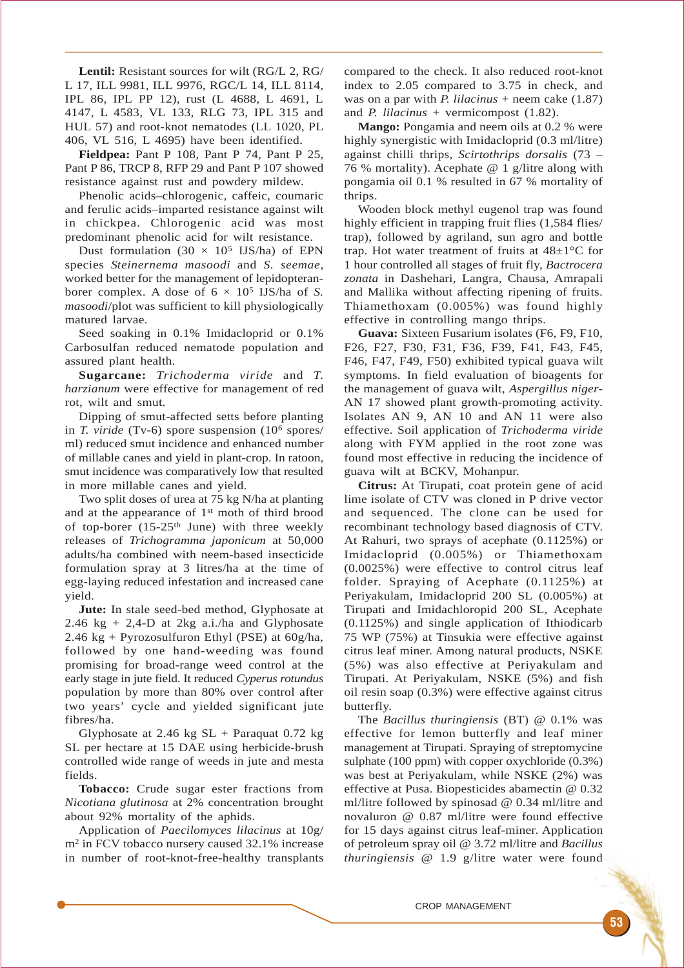**Lentil:** Resistant sources for wilt (RG/L 2, RG/ L 17, ILL 9981, ILL 9976, RGC/L 14, ILL 8114, IPL 86, IPL PP 12), rust (L 4688, L 4691, L 4147, L 4583, VL 133, RLG 73, IPL 315 and HUL 57) and root-knot nematodes (LL 1020, PL 406, VL 516, L 4695) have been identified.

**Fieldpea:** Pant P 108, Pant P 74, Pant P 25, Pant P 86, TRCP 8, RFP 29 and Pant P 107 showed resistance against rust and powdery mildew.

Phenolic acids–chlorogenic, caffeic, coumaric and ferulic acids–imparted resistance against wilt in chickpea. Chlorogenic acid was most predominant phenolic acid for wilt resistance.

Dust formulation  $(30 \times 10^5 \text{ IJS/ha})$  of EPN species *Steinernema masoodi* and *S. seemae*, worked better for the management of lepidopteranborer complex. A dose of  $6 \times 10^5$  IJS/ha of *S*. *masoodi*/plot was sufficient to kill physiologically matured larvae.

Seed soaking in 0.1% Imidacloprid or 0.1% Carbosulfan reduced nematode population and assured plant health.

**Sugarcane:** *Trichoderma viride* and *T. harzianum* were effective for management of red rot, wilt and smut.

Dipping of smut-affected setts before planting in *T. viride* (Tv-6) spore suspension (106 spores/ ml) reduced smut incidence and enhanced number of millable canes and yield in plant-crop. In ratoon, smut incidence was comparatively low that resulted in more millable canes and yield.

Two split doses of urea at 75 kg N/ha at planting and at the appearance of 1st moth of third brood of top-borer (15-25<sup>th</sup> June) with three weekly releases of *Trichogramma japonicum* at 50,000 adults/ha combined with neem-based insecticide formulation spray at 3 litres/ha at the time of egg-laying reduced infestation and increased cane yield.

**Jute:** In stale seed-bed method, Glyphosate at 2.46 kg + 2,4-D at 2kg a.i./ha and Glyphosate 2.46 kg + Pyrozosulfuron Ethyl (PSE) at 60g/ha, followed by one hand-weeding was found promising for broad-range weed control at the early stage in jute field. It reduced *Cyperus rotundus* population by more than 80% over control after two years' cycle and yielded significant jute fibres/ha.

Glyphosate at 2.46 kg  $SL$  + Paraquat 0.72 kg SL per hectare at 15 DAE using herbicide-brush controlled wide range of weeds in jute and mesta fields.

**Tobacco:** Crude sugar ester fractions from *Nicotiana glutinosa* at 2% concentration brought about 92% mortality of the aphids.

Application of *Paecilomyces lilacinus* at 10g/ m2 in FCV tobacco nursery caused 32.1% increase in number of root-knot-free-healthy transplants

compared to the check. It also reduced root-knot index to 2.05 compared to 3.75 in check, and was on a par with *P. lilacinus* + neem cake (1.87) and *P. lilacinus* + vermicompost (1.82).

**Mango:** Pongamia and neem oils at 0.2 % were highly synergistic with Imidacloprid (0.3 ml/litre) against chilli thrips, *Scirtothrips dorsalis* (73 – 76 % mortality). Acephate @ 1 g/litre along with pongamia oil 0.1 % resulted in 67 % mortality of thrips.

Wooden block methyl eugenol trap was found highly efficient in trapping fruit flies (1,584 flies/ trap), followed by agriland, sun agro and bottle trap. Hot water treatment of fruits at  $48\pm1\degree$ C for 1 hour controlled all stages of fruit fly, *Bactrocera zonata* in Dashehari, Langra, Chausa, Amrapali and Mallika without affecting ripening of fruits. Thiamethoxam (0.005%) was found highly effective in controlling mango thrips.

**Guava:** Sixteen Fusarium isolates (F6, F9, F10, F26, F27, F30, F31, F36, F39, F41, F43, F45, F46, F47, F49, F50) exhibited typical guava wilt symptoms. In field evaluation of bioagents for the management of guava wilt, *Aspergillus niger*-AN 17 showed plant growth-promoting activity. Isolates AN 9, AN 10 and AN 11 were also effective. Soil application of *Trichoderma viride* along with FYM applied in the root zone was found most effective in reducing the incidence of guava wilt at BCKV, Mohanpur.

**Citrus:** At Tirupati, coat protein gene of acid lime isolate of CTV was cloned in P drive vector and sequenced. The clone can be used for recombinant technology based diagnosis of CTV. At Rahuri, two sprays of acephate (0.1125%) or Imidacloprid (0.005%) or Thiamethoxam (0.0025%) were effective to control citrus leaf folder. Spraying of Acephate (0.1125%) at Periyakulam, Imidacloprid 200 SL (0.005%) at Tirupati and Imidachloropid 200 SL, Acephate (0.1125%) and single application of Ithiodicarb 75 WP (75%) at Tinsukia were effective against citrus leaf miner. Among natural products, NSKE (5%) was also effective at Periyakulam and Tirupati. At Periyakulam, NSKE (5%) and fish oil resin soap (0.3%) were effective against citrus butterfly.

The *Bacillus thuringiensis* (BT) @ 0.1% was effective for lemon butterfly and leaf miner management at Tirupati. Spraying of streptomycine sulphate (100 ppm) with copper oxychloride (0.3%) was best at Periyakulam, while NSKE (2%) was effective at Pusa. Biopesticides abamectin @ 0.32 ml/litre followed by spinosad @ 0.34 ml/litre and novaluron @ 0.87 ml/litre were found effective for 15 days against citrus leaf-miner. Application of petroleum spray oil @ 3.72 ml/litre and *Bacillus thuringiensis* @ 1.9 g/litre water were found

CROP MANAGEMENT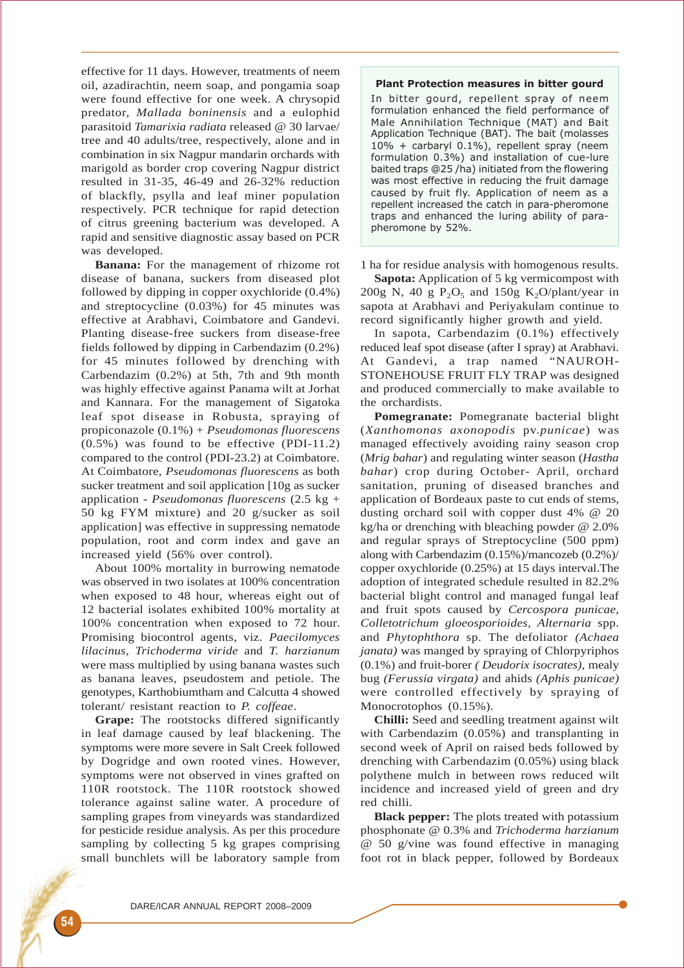effective for 11 days. However, treatments of neem oil, azadirachtin, neem soap, and pongamia soap were found effective for one week. A chrysopid predator, *Mallada boninensis* and a eulophid parasitoid *Tamarixia radiata* released @ 30 larvae/ tree and 40 adults/tree, respectively, alone and in combination in six Nagpur mandarin orchards with marigold as border crop covering Nagpur district resulted in 31-35, 46-49 and 26-32% reduction of blackfly, psylla and leaf miner population respectively. PCR technique for rapid detection of citrus greening bacterium was developed. A rapid and sensitive diagnostic assay based on PCR was developed.

**Banana:** For the management of rhizome rot disease of banana, suckers from diseased plot followed by dipping in copper oxychloride (0.4%) and streptocycline (0.03%) for 45 minutes was effective at Arabhavi, Coimbatore and Gandevi. Planting disease-free suckers from disease-free fields followed by dipping in Carbendazim (0.2%) for 45 minutes followed by drenching with Carbendazim (0.2%) at 5th, 7th and 9th month was highly effective against Panama wilt at Jorhat and Kannara. For the management of Sigatoka leaf spot disease in Robusta, spraying of propiconazole (0.1%) + *Pseudomonas fluorescens* (0.5%) was found to be effective (PDI-11.2) compared to the control (PDI-23.2) at Coimbatore. At Coimbatore, *Pseudomonas fluorescens* as both sucker treatment and soil application [10g as sucker application - *Pseudomonas fluorescens* (2.5 kg + 50 kg FYM mixture) and 20 g/sucker as soil application] was effective in suppressing nematode population, root and corm index and gave an increased yield (56% over control).

About 100% mortality in burrowing nematode was observed in two isolates at 100% concentration when exposed to 48 hour, whereas eight out of 12 bacterial isolates exhibited 100% mortality at 100% concentration when exposed to 72 hour. Promising biocontrol agents, viz. *Paecilomyces lilacinus, Trichoderma viride* and *T. harzianum* were mass multiplied by using banana wastes such as banana leaves, pseudostem and petiole. The genotypes, Karthobiumtham and Calcutta 4 showed tolerant/ resistant reaction to *P. coffeae*.

**Grape:** The rootstocks differed significantly in leaf damage caused by leaf blackening. The symptoms were more severe in Salt Creek followed by Dogridge and own rooted vines. However, symptoms were not observed in vines grafted on 110R rootstock. The 110R rootstock showed tolerance against saline water. A procedure of sampling grapes from vineyards was standardized for pesticide residue analysis. As per this procedure sampling by collecting 5 kg grapes comprising small bunchlets will be laboratory sample from

## Plant Protection measures in bitter gourd

In bitter gourd, repellent spray of neem formulation enhanced the field performance of Male Annihilation Technique (MAT) and Bait Application Technique (BAT). The bait (molasses 10% + carbaryl 0.1%), repellent spray (neem formulation 0.3%) and installation of cue-lure baited traps @25 /ha) initiated from the flowering was most effective in reducing the fruit damage caused by fruit fly. Application of neem as a repellent increased the catch in para-pheromone traps and enhanced the luring ability of parapheromone by 52%.

1 ha for residue analysis with homogenous results.

**Sapota:** Application of 5 kg vermicompost with 200g N, 40 g  $P_2O_5$  and 150g K<sub>2</sub>O/plant/year in sapota at Arabhavi and Periyakulam continue to record significantly higher growth and yield.

In sapota, Carbendazim (0.1%) effectively reduced leaf spot disease (after I spray) at Arabhavi. At Gandevi, a trap named "NAUROH-STONEHOUSE FRUIT FLY TRAP was designed and produced commercially to make available to the orchardists.

**Pomegranate:** Pomegranate bacterial blight (*Xanthomonas axonopodis* pv.*punicae*) was managed effectively avoiding rainy season crop (*Mrig bahar*) and regulating winter season (*Hastha bahar*) crop during October- April, orchard sanitation, pruning of diseased branches and application of Bordeaux paste to cut ends of stems, dusting orchard soil with copper dust 4% @ 20 kg/ha or drenching with bleaching powder @ 2.0% and regular sprays of Streptocycline (500 ppm) along with Carbendazim (0.15%)/mancozeb (0.2%)/ copper oxychloride (0.25%) at 15 days interval.The adoption of integrated schedule resulted in 82.2% bacterial blight control and managed fungal leaf and fruit spots caused by *Cercospora punicae, Colletotrichum gloeosporioides, Alternaria* spp. and *Phytophthora* sp. The defoliator *(Achaea janata)* was manged by spraying of Chlorpyriphos (0.1%) and fruit-borer *( Deudorix isocrates),* mealy bug *(Ferussia virgata)* and ahids *(Aphis punicae)* were controlled effectively by spraying of Monocrotophos  $(0.15\%)$ .

**Chilli:** Seed and seedling treatment against wilt with Carbendazim  $(0.05%)$  and transplanting in second week of April on raised beds followed by drenching with Carbendazim (0.05%) using black polythene mulch in between rows reduced wilt incidence and increased yield of green and dry red chilli.

**Black pepper:** The plots treated with potassium phosphonate @ 0.3% and *Trichoderma harzianum* @ 50 g/vine was found effective in managing foot rot in black pepper, followed by Bordeaux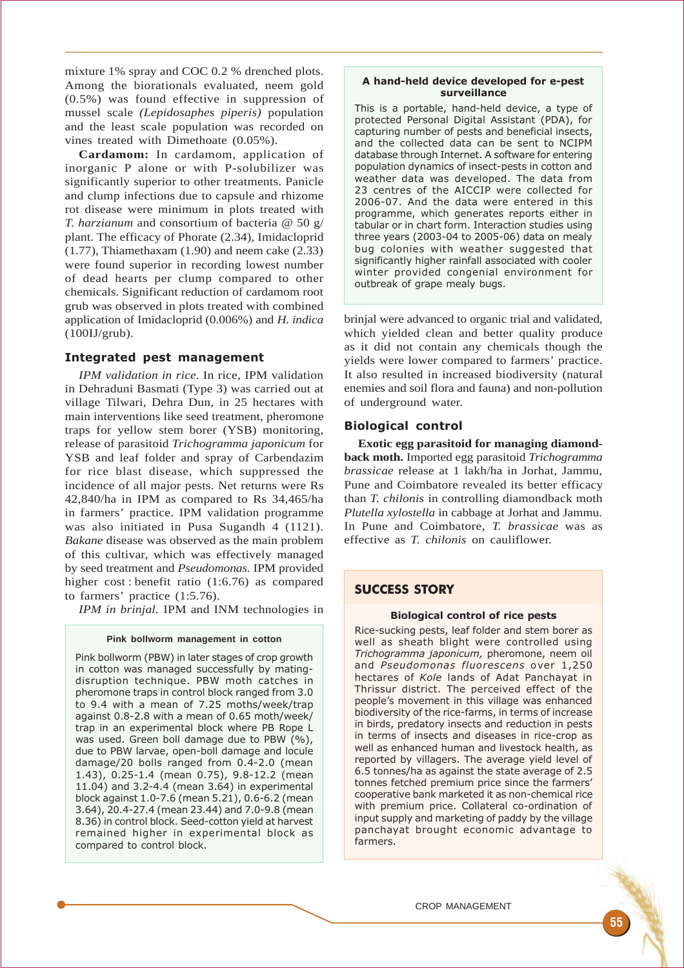mixture 1% spray and COC 0.2 % drenched plots. Among the biorationals evaluated, neem gold (0.5%) was found effective in suppression of mussel scale *(Lepidosaphes piperis)* population and the least scale population was recorded on vines treated with Dimethoate (0.05%).

**Cardamom:** In cardamom, application of inorganic P alone or with P-solubilizer was significantly superior to other treatments. Panicle and clump infections due to capsule and rhizome rot disease were minimum in plots treated with *T. harzianum* and consortium of bacteria @ 50 g/ plant. The efficacy of Phorate (2.34), Imidacloprid (1.77), Thiamethaxam (1.90) and neem cake (2.33) were found superior in recording lowest number of dead hearts per clump compared to other chemicals. Significant reduction of cardamom root grub was observed in plots treated with combined application of Imidacloprid (0.006%) and *H. indica* (100IJ/grub).

# Integrated pest management

*IPM validation in rice.* In rice, IPM validation in Dehraduni Basmati (Type 3) was carried out at village Tilwari, Dehra Dun, in 25 hectares with main interventions like seed treatment, pheromone traps for yellow stem borer (YSB) monitoring, release of parasitoid *Trichogramma japonicum* for YSB and leaf folder and spray of Carbendazim for rice blast disease, which suppressed the incidence of all major pests. Net returns were Rs 42,840/ha in IPM as compared to Rs 34,465/ha in farmers' practice. IPM validation programme was also initiated in Pusa Sugandh 4 (1121). *Bakane* disease was observed as the main problem of this cultivar, which was effectively managed by seed treatment and *Pseudomonas.* IPM provided higher cost : benefit ratio (1:6.76) as compared to farmers' practice (1:5.76).

*IPM in brinjal.* IPM and INM technologies in

## **Pink bollworm management in cotton**

Pink bollworm (PBW) in later stages of crop growth in cotton was managed successfully by matingdisruption technique. PBW moth catches in pheromone traps in control block ranged from 3.0 to 9.4 with a mean of 7.25 moths/week/trap against 0.8-2.8 with a mean of 0.65 moth/week/ trap in an experimental block where PB Rope L was used. Green boll damage due to PBW (%), due to PBW larvae, open-boll damage and locule damage/20 bolls ranged from 0.4-2.0 (mean 1.43), 0.25-1.4 (mean 0.75), 9.8-12.2 (mean 11.04) and 3.2-4.4 (mean 3.64) in experimental block against 1.0-7.6 (mean 5.21), 0.6-6.2 (mean 3.64), 20.4-27.4 (mean 23.44) and 7.0-9.8 (mean 8.36) in control block. Seed-cotton yield at harvest remained higher in experimental block as compared to control block.

## A hand-held device developed for e-pest surveillance

This is a portable, hand-held device, a type of protected Personal Digital Assistant (PDA), for capturing number of pests and beneficial insects, and the collected data can be sent to NCIPM database through Internet. A software for entering population dynamics of insect-pests in cotton and weather data was developed. The data from 23 centres of the AICCIP were collected for 2006-07. And the data were entered in this programme, which generates reports either in tabular or in chart form. Interaction studies using three years (2003-04 to 2005-06) data on mealy bug colonies with weather suggested that significantly higher rainfall associated with cooler winter provided congenial environment for outbreak of grape mealy bugs.

brinjal were advanced to organic trial and validated, which yielded clean and better quality produce as it did not contain any chemicals though the yields were lower compared to farmers' practice. It also resulted in increased biodiversity (natural enemies and soil flora and fauna) and non-pollution of underground water.

# Biological control

**Exotic egg parasitoid for managing diamondback moth.** Imported egg parasitoid *Trichogramma brassicae* release at 1 lakh/ha in Jorhat, Jammu, Pune and Coimbatore revealed its better efficacy than *T. chilonis* in controlling diamondback moth *Plutella xylostella* in cabbage at Jorhat and Jammu. In Pune and Coimbatore, *T. brassicae* was as effective as *T. chilonis* on cauliflower.

# SUCCESS STORY

## Biological control of rice pests

Rice-sucking pests, leaf folder and stem borer as well as sheath blight were controlled using Trichogramma japonicum, pheromone, neem oil and Pseudomonas fluorescens over 1,250 hectares of Kole lands of Adat Panchayat in Thrissur district. The perceived effect of the people's movement in this village was enhanced biodiversity of the rice-farms, in terms of increase in birds, predatory insects and reduction in pests in terms of insects and diseases in rice-crop as well as enhanced human and livestock health, as reported by villagers. The average yield level of 6.5 tonnes/ha as against the state average of 2.5 tonnes fetched premium price since the farmers' cooperative bank marketed it as non-chemical rice with premium price. Collateral co-ordination of input supply and marketing of paddy by the village panchayat brought economic advantage to farmers.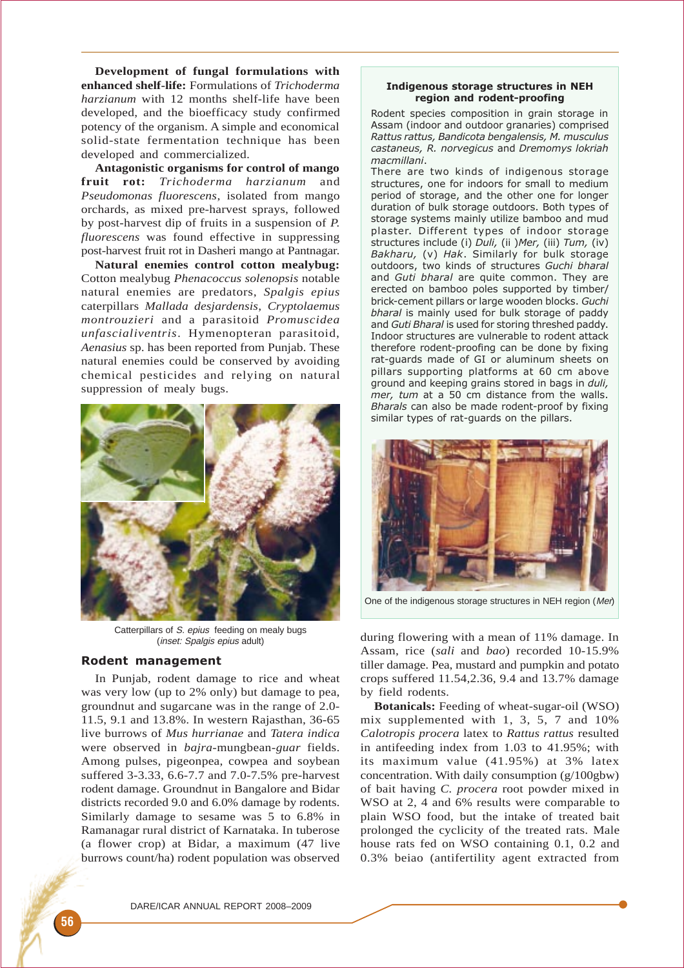**Development of fungal formulations with enhanced shelf-life:** Formulations of *Trichoderma harzianum* with 12 months shelf-life have been developed, and the bioefficacy study confirmed potency of the organism. A simple and economical solid-state fermentation technique has been developed and commercialized.

**Antagonistic organisms for control of mango fruit rot:** *Trichoderma harzianum* and *Pseudomonas fluorescens*, isolated from mango orchards, as mixed pre-harvest sprays, followed by post-harvest dip of fruits in a suspension of *P. fluorescens* was found effective in suppressing post-harvest fruit rot in Dasheri mango at Pantnagar.

**Natural enemies control cotton mealybug:** Cotton mealybug *Phenacoccus solenopsis* notable natural enemies are predators, *Spalgis epius* caterpillars *Mallada desjardensis*, *Cryptolaemus montrouzieri* and a parasitoid *Promuscidea unfascialiventris*. Hymenopteran parasitoid, *Aenasius* sp. has been reported from Punjab. These natural enemies could be conserved by avoiding chemical pesticides and relying on natural suppression of mealy bugs.



Catterpillars of S. epius feeding on mealy bugs (inset: Spalgis epius adult)

# Rodent management

In Punjab, rodent damage to rice and wheat was very low (up to 2% only) but damage to pea, groundnut and sugarcane was in the range of 2.0- 11.5, 9.1 and 13.8%. In western Rajasthan, 36-65 live burrows of *Mus hurrianae* and *Tatera indica* were observed in *bajra*-mungbean-*guar* fields. Among pulses, pigeonpea, cowpea and soybean suffered 3-3.33, 6.6-7.7 and 7.0-7.5% pre-harvest rodent damage. Groundnut in Bangalore and Bidar districts recorded 9.0 and 6.0% damage by rodents. Similarly damage to sesame was 5 to 6.8% in Ramanagar rural district of Karnataka. In tuberose (a flower crop) at Bidar, a maximum (47 live burrows count/ha) rodent population was observed

## Indigenous storage structures in NEH region and rodent-proofing

Rodent species composition in grain storage in Assam (indoor and outdoor granaries) comprised Rattus rattus, Bandicota bengalensis, M. musculus castaneus, R. norvegicus and Dremomys lokriah macmillani.

There are two kinds of indigenous storage structures, one for indoors for small to medium period of storage, and the other one for longer duration of bulk storage outdoors. Both types of storage systems mainly utilize bamboo and mud plaster. Different types of indoor storage structures include (i) Duli, (ii )Mer, (iii) Tum, (iv) Bakharu, (v) Hak. Similarly for bulk storage outdoors, two kinds of structures Guchi bharal and Guti bharal are quite common. They are erected on bamboo poles supported by timber/ brick-cement pillars or large wooden blocks. Guchi bharal is mainly used for bulk storage of paddy and Guti Bharal is used for storing threshed paddy. Indoor structures are vulnerable to rodent attack therefore rodent-proofing can be done by fixing rat-guards made of GI or aluminum sheets on pillars supporting platforms at 60 cm above ground and keeping grains stored in bags in duli, mer, tum at a 50 cm distance from the walls. Bharals can also be made rodent-proof by fixing similar types of rat-guards on the pillars.



One of the indigenous storage structures in NEH region (Mer)

during flowering with a mean of 11% damage. In Assam, rice (*sali* and *bao*) recorded 10-15.9% tiller damage. Pea, mustard and pumpkin and potato crops suffered 11.54,2.36, 9.4 and 13.7% damage by field rodents.

**Botanicals:** Feeding of wheat-sugar-oil (WSO) mix supplemented with 1, 3, 5, 7 and 10% *Calotropis procera* latex to *Rattus rattus* resulted in antifeeding index from 1.03 to 41.95%; with its maximum value (41.95%) at 3% latex concentration. With daily consumption (g/100gbw) of bait having *C. procera* root powder mixed in WSO at 2, 4 and 6% results were comparable to plain WSO food, but the intake of treated bait prolonged the cyclicity of the treated rats. Male house rats fed on WSO containing 0.1, 0.2 and 0.3% beiao (antifertility agent extracted from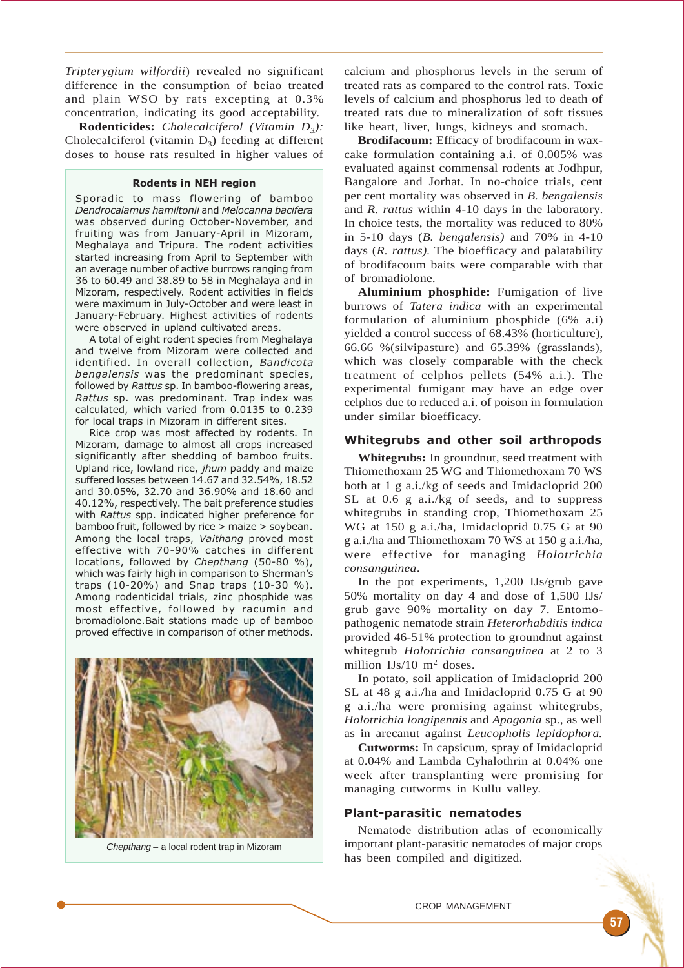*Tripterygium wilfordii*) revealed no significant difference in the consumption of beiao treated and plain WSO by rats excepting at 0.3% concentration, indicating its good acceptability.

**Rodenticides:** *Cholecalciferol (Vitamin D3):* Cholecalciferol (vitamin  $D_3$ ) feeding at different doses to house rats resulted in higher values of

## Rodents in NEH region

Sporadic to mass flowering of bamboo Dendrocalamus hamiltonii and Melocanna bacifera was observed during October-November, and fruiting was from January-April in Mizoram, Meghalaya and Tripura. The rodent activities started increasing from April to September with an average number of active burrows ranging from 36 to 60.49 and 38.89 to 58 in Meghalaya and in Mizoram, respectively. Rodent activities in fields were maximum in July-October and were least in January-February. Highest activities of rodents were observed in upland cultivated areas.

A total of eight rodent species from Meghalaya and twelve from Mizoram were collected and identified. In overall collection, Bandicota bengalensis was the predominant species, followed by Rattus sp. In bamboo-flowering areas, Rattus sp. was predominant. Trap index was calculated, which varied from 0.0135 to 0.239 for local traps in Mizoram in different sites.

Rice crop was most affected by rodents. In Mizoram, damage to almost all crops increased significantly after shedding of bamboo fruits. Upland rice, lowland rice, jhum paddy and maize suffered losses between 14.67 and 32.54%, 18.52 and 30.05%, 32.70 and 36.90% and 18.60 and 40.12%, respectively. The bait preference studies with Rattus spp. indicated higher preference for bamboo fruit, followed by rice > maize > soybean. Among the local traps, Vaithang proved most effective with 70-90% catches in different locations, followed by Chepthang (50-80 %), which was fairly high in comparison to Sherman's traps (10-20%) and Snap traps (10-30 %). Among rodenticidal trials, zinc phosphide was most effective, followed by racumin and bromadiolone.Bait stations made up of bamboo proved effective in comparison of other methods.



Chepthang – a local rodent trap in Mizoram

calcium and phosphorus levels in the serum of treated rats as compared to the control rats. Toxic levels of calcium and phosphorus led to death of treated rats due to mineralization of soft tissues like heart, liver, lungs, kidneys and stomach.

**Brodifacoum:** Efficacy of brodifacoum in waxcake formulation containing a.i. of 0.005% was evaluated against commensal rodents at Jodhpur, Bangalore and Jorhat. In no-choice trials, cent per cent mortality was observed in *B. bengalensis* and *R. rattus* within 4-10 days in the laboratory. In choice tests, the mortality was reduced to 80% in 5-10 days (*B. bengalensis)* and 70% in 4-10 days (*R. rattus).* The bioefficacy and palatability of brodifacoum baits were comparable with that of bromadiolone.

**Aluminium phosphide:** Fumigation of live burrows of *Tatera indica* with an experimental formulation of aluminium phosphide (6% a.i) yielded a control success of 68.43% (horticulture), 66.66 %(silvipasture) and 65.39% (grasslands), which was closely comparable with the check treatment of celphos pellets (54% a.i.). The experimental fumigant may have an edge over celphos due to reduced a.i. of poison in formulation under similar bioefficacy.

## Whitegrubs and other soil arthropods

**Whitegrubs:** In groundnut, seed treatment with Thiomethoxam 25 WG and Thiomethoxam 70 WS both at 1 g a.i./kg of seeds and Imidacloprid 200 SL at 0.6 g a.i./kg of seeds, and to suppress whitegrubs in standing crop, Thiomethoxam 25 WG at 150 g a.i./ha, Imidacloprid 0.75 G at 90 g a.i./ha and Thiomethoxam 70 WS at 150 g a.i./ha, were effective for managing *Holotrichia consanguinea*.

In the pot experiments, 1,200 IJs/grub gave 50% mortality on day 4 and dose of 1,500 IJs/ grub gave 90% mortality on day 7. Entomopathogenic nematode strain *Heterorhabditis indica* provided 46-51% protection to groundnut against whitegrub *Holotrichia consanguinea* at 2 to 3 million IJs/10 m2 doses.

In potato, soil application of Imidacloprid 200 SL at 48 g a.i./ha and Imidacloprid 0.75 G at 90 g a.i./ha were promising against whitegrubs, *Holotrichia longipennis* and *Apogonia* sp., as well as in arecanut against *Leucopholis lepidophora.*

**Cutworms:** In capsicum, spray of Imidacloprid at 0.04% and Lambda Cyhalothrin at 0.04% one week after transplanting were promising for managing cutworms in Kullu valley.

## Plant-parasitic nematodes

Nematode distribution atlas of economically important plant-parasitic nematodes of major crops has been compiled and digitized.

#### CROP MANAGEMENT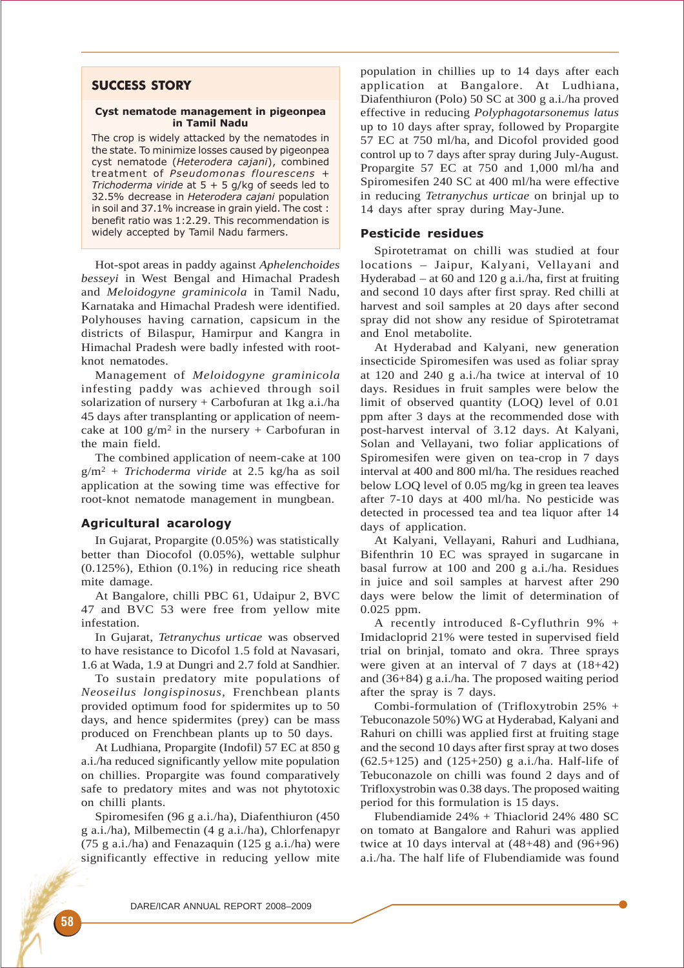# SUCCESS STORY

#### Cyst nematode management in pigeonpea in Tamil Nadu

The crop is widely attacked by the nematodes in the state. To minimize losses caused by pigeonpea cyst nematode (Heterodera cajani), combined treatment of Pseudomonas flourescens + Trichoderma viride at  $5 + 5$  g/kg of seeds led to 32.5% decrease in Heterodera cajani population in soil and 37.1% increase in grain yield. The cost : benefit ratio was 1:2.29. This recommendation is widely accepted by Tamil Nadu farmers.

Hot-spot areas in paddy against *Aphelenchoides besseyi* in West Bengal and Himachal Pradesh and *Meloidogyne graminicola* in Tamil Nadu, Karnataka and Himachal Pradesh were identified. Polyhouses having carnation, capsicum in the districts of Bilaspur, Hamirpur and Kangra in Himachal Pradesh were badly infested with rootknot nematodes.

Management of *Meloidogyne graminicola* infesting paddy was achieved through soil solarization of nursery  $+$  Carbofuran at 1kg a.i./ha 45 days after transplanting or application of neemcake at 100 g/m<sup>2</sup> in the nursery + Carbofuran in the main field.

The combined application of neem-cake at 100 g/m2 + *Trichoderma viride* at 2.5 kg/ha as soil application at the sowing time was effective for root-knot nematode management in mungbean.

# Agricultural acarology

In Gujarat, Propargite (0.05%) was statistically better than Diocofol (0.05%), wettable sulphur (0.125%), Ethion (0.1%) in reducing rice sheath mite damage.

At Bangalore, chilli PBC 61, Udaipur 2, BVC 47 and BVC 53 were free from yellow mite infestation.

In Gujarat, *Tetranychus urticae* was observed to have resistance to Dicofol 1.5 fold at Navasari, 1.6 at Wada, 1.9 at Dungri and 2.7 fold at Sandhier.

To sustain predatory mite populations of *Neoseilus longispinosus,* Frenchbean plants provided optimum food for spidermites up to 50 days, and hence spidermites (prey) can be mass produced on Frenchbean plants up to 50 days.

At Ludhiana, Propargite (Indofil) 57 EC at 850 g a.i./ha reduced significantly yellow mite population on chillies. Propargite was found comparatively safe to predatory mites and was not phytotoxic on chilli plants.

Spiromesifen (96 g a.i./ha), Diafenthiuron (450 g a.i./ha), Milbemectin (4 g a.i./ha), Chlorfenapyr (75 g a.i./ha) and Fenazaquin (125 g a.i./ha) were significantly effective in reducing yellow mite population in chillies up to 14 days after each application at Bangalore. At Ludhiana, Diafenthiuron (Polo) 50 SC at 300 g a.i./ha proved effective in reducing *Polyphagotarsonemus latus* up to 10 days after spray, followed by Propargite 57 EC at 750 ml/ha, and Dicofol provided good control up to 7 days after spray during July-August. Propargite 57 EC at 750 and 1,000 ml/ha and Spiromesifen 240 SC at 400 ml/ha were effective in reducing *Tetranychus urticae* on brinjal up to 14 days after spray during May-June.

## Pesticide residues

Spirotetramat on chilli was studied at four locations – Jaipur, Kalyani, Vellayani and Hyderabad – at 60 and 120 g a.i./ha, first at fruiting and second 10 days after first spray. Red chilli at harvest and soil samples at 20 days after second spray did not show any residue of Spirotetramat and Enol metabolite.

At Hyderabad and Kalyani, new generation insecticide Spiromesifen was used as foliar spray at 120 and 240 g a.i./ha twice at interval of 10 days. Residues in fruit samples were below the limit of observed quantity (LOQ) level of 0.01 ppm after 3 days at the recommended dose with post-harvest interval of 3.12 days. At Kalyani, Solan and Vellayani, two foliar applications of Spiromesifen were given on tea-crop in 7 days interval at 400 and 800 ml/ha. The residues reached below LOQ level of 0.05 mg/kg in green tea leaves after 7-10 days at 400 ml/ha. No pesticide was detected in processed tea and tea liquor after 14 days of application.

At Kalyani, Vellayani, Rahuri and Ludhiana, Bifenthrin 10 EC was sprayed in sugarcane in basal furrow at 100 and 200 g a.i./ha. Residues in juice and soil samples at harvest after 290 days were below the limit of determination of 0.025 ppm.

A recently introduced ß-Cyfluthrin 9% + Imidacloprid 21% were tested in supervised field trial on brinjal, tomato and okra. Three sprays were given at an interval of 7 days at (18+42) and (36+84) g a.i./ha. The proposed waiting period after the spray is 7 days.

Combi-formulation of (Trifloxytrobin 25% + Tebuconazole 50%) WG at Hyderabad, Kalyani and Rahuri on chilli was applied first at fruiting stage and the second 10 days after first spray at two doses  $(62.5+125)$  and  $(125+250)$  g a.i./ha. Half-life of Tebuconazole on chilli was found 2 days and of Trifloxystrobin was 0.38 days. The proposed waiting period for this formulation is 15 days.

Flubendiamide 24% + Thiaclorid 24% 480 SC on tomato at Bangalore and Rahuri was applied twice at 10 days interval at  $(48+48)$  and  $(96+96)$ a.i./ha. The half life of Flubendiamide was found